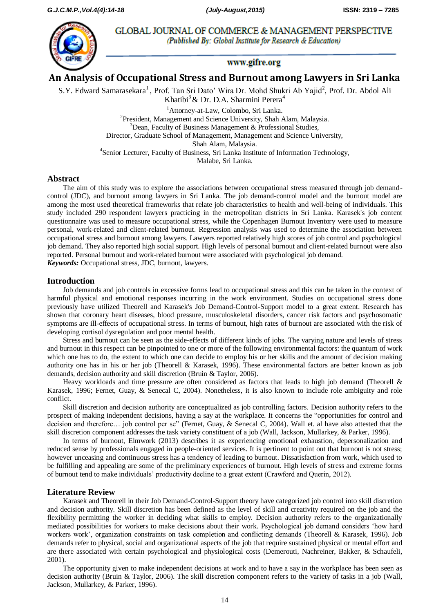

GLOBAL JOURNAL OF COMMERCE & MANAGEMENT PERSPECTIVE (Published By: Global Institute for Research & Education)

# www.gifre.org

**An Analysis of Occupational Stress and Burnout among Lawyers in Sri Lanka**

S.Y. Edward Samarasekara<sup>1</sup>, Prof. Tan Sri Dato' Wira Dr. Mohd Shukri Ab Yajid<sup>2</sup>, Prof. Dr. Abdol Ali Khatibi<sup>3</sup> & Dr. D.A. Sharmini Perera<sup>4</sup>

> <sup>1</sup>Attorney-at-Law, Colombo, Sri Lanka. <sup>2</sup>President, Management and Science University, Shah Alam, Malaysia.  $3$ Dean, Faculty of Business Management & Professional Studies, Director, Graduate School of Management, Management and Science University, Shah Alam, Malaysia. 4 Senior Lecturer, Faculty of Business, Sri Lanka Institute of Information Technology, Malabe, Sri Lanka.

## **Abstract**

The aim of this study was to explore the associations between occupational stress measured through job demandcontrol (JDC), and burnout among lawyers in Sri Lanka. The job demand-control model and the burnout model are among the most used theoretical frameworks that relate job characteristics to health and well-being of individuals. This study included 290 respondent lawyers practicing in the metropolitan districts in Sri Lanka. Karasek's job content questionnaire was used to measure occupational stress, while the Copenhagen Burnout Inventory were used to measure personal, work-related and client-related burnout. Regression analysis was used to determine the association between occupational stress and burnout among lawyers. Lawyers reported relatively high scores of job control and psychological job demand. They also reported high social support. High levels of personal burnout and client-related burnout were also reported. Personal burnout and work-related burnout were associated with psychological job demand.

*Keywords:* Occupational stress, JDC, burnout, lawyers.

### **Introduction**

Job demands and job controls in excessive forms lead to occupational stress and this can be taken in the context of harmful physical and emotional responses incurring in the work environment. Studies on occupational stress done previously have utilized Theorell and Karasek's Job Demand-Control-Support model to a great extent. Research has shown that coronary heart diseases, blood pressure, musculoskeletal disorders, cancer risk factors and psychosomatic symptoms are ill-effects of occupational stress. In terms of burnout, high rates of burnout are associated with the risk of developing cortisol dysregulation and poor mental health.

Stress and burnout can be seen as the side-effects of different kinds of jobs. The varying nature and levels of stress and burnout in this respect can be pinpointed to one or more of the following environmental factors: the quantum of work which one has to do, the extent to which one can decide to employ his or her skills and the amount of decision making authority one has in his or her job (Theorell & Karasek, 1996). These environmental factors are better known as job demands, decision authority and skill discretion (Bruin & Taylor, 2006).

Heavy workloads and time pressure are often considered as factors that leads to high job demand (Theorell & Karasek, 1996; Fernet, Guay, & Senecal C, 2004). Nonetheless, it is also known to include role ambiguity and role conflict.

Skill discretion and decision authority are conceptualized as job controlling factors. Decision authority refers to the prospect of making independent decisions, having a say at the workplace. It concerns the "opportunities for control and decision and therefore… job control per se" (Fernet, Guay, & Senecal C, 2004). Wall et. al have also attested that the skill discretion component addresses the task variety constituent of a job (Wall, Jackson, Mullarkey, & Parker, 1996).

In terms of burnout, Elmwork (2013) describes it as experiencing emotional exhaustion, depersonalization and reduced sense by professionals engaged in people-oriented services. It is pertinent to point out that burnout is not stress; however unceasing and continuous stress has a tendency of leading to burnout. Dissatisfaction from work, which used to be fulfilling and appealing are some of the preliminary experiences of burnout. High levels of stress and extreme forms of burnout tend to make individuals' productivity decline to a great extent (Crawford and Querin, 2012).

## **Literature Review**

Karasek and Theorell in their Job Demand-Control-Support theory have categorized job control into skill discretion and decision authority. Skill discretion has been defined as the level of skill and creativity required on the job and the flexibility permitting the worker in deciding what skills to employ. Decision authority refers to the organizationally mediated possibilities for workers to make decisions about their work. Psychological job demand considers 'how hard workers work', organization constraints on task completion and conflicting demands (Theorell & Karasek, 1996). Job demands refer to physical, social and organizational aspects of the job that require sustained physical or mental effort and are there associated with certain psychological and physiological costs (Demerouti, Nachreiner, Bakker, & Schaufeli, 2001).

The opportunity given to make independent decisions at work and to have a say in the workplace has been seen as decision authority (Bruin & Taylor, 2006). The skill discretion component refers to the variety of tasks in a job (Wall, Jackson, Mullarkey, & Parker, 1996).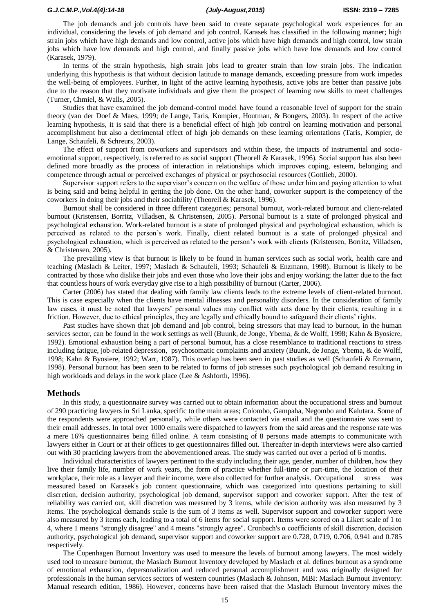The job demands and job controls have been said to create separate psychological work experiences for an individual, considering the levels of job demand and job control. Karasek has classified in the following manner; high strain jobs which have high demands and low control, active jobs which have high demands and high control, low strain jobs which have low demands and high control, and finally passive jobs which have low demands and low control (Karasek, 1979).

In terms of the strain hypothesis, high strain jobs lead to greater strain than low strain jobs. The indication underlying this hypothesis is that without decision latitude to manage demands, exceeding pressure from work impedes the well-being of employees. Further, in light of the active learning hypothesis, active jobs are better than passive jobs due to the reason that they motivate individuals and give them the prospect of learning new skills to meet challenges (Turner, Chmiel, & Walls, 2005).

Studies that have examined the job demand-control model have found a reasonable level of support for the strain theory (van der Doef & Maes, 1999; de Lange, Taris, Kompier, Houtman, & Bongers, 2003). In respect of the active learning hypothesis, it is said that there is a beneficial effect of high job control on learning motivation and personal accomplishment but also a detrimental effect of high job demands on these learning orientations (Taris, Kompier, de Lange, Schaufeli, & Schreurs, 2003).

The effect of support from coworkers and supervisors and within these, the impacts of instrumental and socioemotional support, respectively, is referred to as social support (Theorell & Karasek, 1996). Social support has also been defined more broadly as the process of interaction in relationships which improves coping, esteem, belonging and competence through actual or perceived exchanges of physical or psychosocial resources (Gottlieb, 2000).

Supervisor support refers to the supervisor's concern on the welfare of those under him and paying attention to what is being said and being helpful in getting the job done. On the other hand, coworker support is the competency of the coworkers in doing their jobs and their sociability (Theorell & Karasek, 1996).

Burnout shall be considered in three different categories; personal burnout, work-related burnout and client-related burnout (Kristensen, Borritz, Villadsen, & Christensen, 2005). Personal burnout is a state of prolonged physical and psychological exhaustion. Work-related burnout is a state of prolonged physical and psychological exhaustion, which is perceived as related to the person's work. Finally, client related burnout is a state of prolonged physical and psychological exhaustion, which is perceived as related to the person's work with clients (Kristensen, Borritz, Villadsen, & Christensen, 2005).

The prevailing view is that burnout is likely to be found in human services such as social work, health care and teaching (Maslach & Leiter, 1997; Maslach & Schaufeli, 1993; Schaufeli & Enzmann, 1998). Burnout is likely to be contracted by those who dislike their jobs and even those who love their jobs and enjoy working; the latter due to the fact that countless hours of work everyday give rise to a high possibility of burnout (Carter, 2006).

Carter (2006) has stated that dealing with family law clients leads to the extreme levels of client-related burnout. This is case especially when the clients have mental illnesses and personality disorders. In the consideration of family law cases, it must be noted that lawyers' personal values may conflict with acts done by their clients, resulting in a friction. However, due to ethical principles, they are legally and ethically bound to safeguard their clients' rights.

Past studies have shown that job demand and job control, being stressors that may lead to burnout, in the human services sector, can be found in the work settings as well (Buunk, de Jonge, Ybema, & de Wolff, 1998; Kahn & Byosiere, 1992). Emotional exhaustion being a part of personal burnout, has a close resemblance to traditional reactions to stress including fatigue, job-related depression, psychosomatic complaints and anxiety (Buunk, de Jonge, Ybema, & de Wolff, 1998; Kahn & Byosiere, 1992; Warr, 1987). This overlap has been seen in past studies as well (Schaufeli & Enzmann, 1998). Personal burnout has been seen to be related to forms of job stresses such psychological job demand resulting in high workloads and delays in the work place (Lee & Ashforth, 1996).

### **Methods**

In this study, a questionnaire survey was carried out to obtain information about the occupational stress and burnout of 290 practicing lawyers in Sri Lanka, specific to the main areas; Colombo, Gampaha, Negombo and Kalutara. Some of the respondents were approached personally, while others were contacted via email and the questionnaire was sent to their email addresses. In total over 1000 emails were dispatched to lawyers from the said areas and the response rate was a mere 16% questionnaires being filled online. A team consisting of 8 persons made attempts to communicate with lawyers either in Court or at their offices to get questionnaires filled out. Thereafter in-depth interviews were also carried out with 30 practicing lawyers from the abovementioned areas. The study was carried out over a period of 6 months.

Individual characteristics of lawyers pertinent to the study including their age, gender, number of children, how they live their family life, number of work years, the form of practice whether full-time or part-time, the location of their workplace, their role as a lawyer and their income, were also collected for further analysis. Occupational stress was measured based on Karasek's job content questionnaire, which was categorized into questions pertaining to skill discretion, decision authority, psychological job demand, supervisor support and coworker support. After the test of reliability was carried out, skill discretion was measured by 3 items, while decision authority was also measured by 3 items. The psychological demands scale is the sum of 3 items as well. Supervisor support and coworker support were also measured by 3 items each, leading to a total of 6 items for social support. Items were scored on a Likert scale of 1 to 4, where 1 means "strongly disagree" and 4 means "strongly agree". Cronbach's α coefficients of skill discretion, decision authority, psychological job demand, supervisor support and coworker support are 0.728, 0.719, 0.706, 0.941 and 0.785 respectively.

The Copenhagen Burnout Inventory was used to measure the levels of burnout among lawyers. The most widely used tool to measure burnout, the Maslach Burnout Inventory developed by Maslach et al. defines burnout as a syndrome of emotional exhaustion, depersonalization and reduced personal accomplishment and was originally designed for professionals in the human services sectors of western countries (Maslach & Johnson, MBI: Maslach Burnout Inventory: Manual research edition, 1986). However, concerns have been raised that the Maslach Burnout Inventory mixes the

15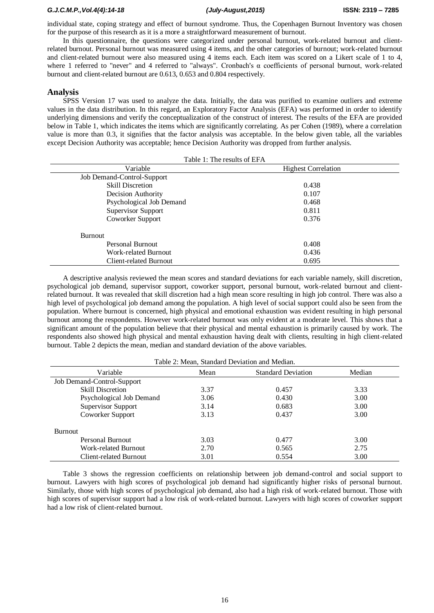individual state, coping strategy and effect of burnout syndrome. Thus, the Copenhagen Burnout Inventory was chosen for the purpose of this research as it is a more a straightforward measurement of burnout.

In this questionnaire, the questions were categorized under personal burnout, work-related burnout and clientrelated burnout. Personal burnout was measured using 4 items, and the other categories of burnout; work-related burnout and client-related burnout were also measured using 4 items each. Each item was scored on a Likert scale of 1 to 4, where 1 referred to "never" and 4 referred to "always". Cronbach's α coefficients of personal burnout, work-related burnout and client-related burnout are 0.613, 0.653 and 0.804 respectively.

## **Analysis**

SPSS Version 17 was used to analyze the data. Initially, the data was purified to examine outliers and extreme values in the data distribution. In this regard, an Exploratory Factor Analysis (EFA) was performed in order to identify underlying dimensions and verify the conceptualization of the construct of interest. The results of the EFA are provided below in Table 1, which indicates the items which are significantly correlating. As per Cohen (1989), where a correlation value is more than 0.3, it signifies that the factor analysis was acceptable. In the below given table, all the variables except Decision Authority was acceptable; hence Decision Authority was dropped from further analysis.

| Table 1: The results of EFA |                            |  |  |  |  |  |
|-----------------------------|----------------------------|--|--|--|--|--|
| Variable                    | <b>Highest Correlation</b> |  |  |  |  |  |
| Job Demand-Control-Support  |                            |  |  |  |  |  |
| <b>Skill Discretion</b>     | 0.438                      |  |  |  |  |  |
| Decision Authority          | 0.107                      |  |  |  |  |  |
| Psychological Job Demand    | 0.468                      |  |  |  |  |  |
| <b>Supervisor Support</b>   | 0.811                      |  |  |  |  |  |
| Coworker Support            | 0.376                      |  |  |  |  |  |
| <b>Burnout</b>              |                            |  |  |  |  |  |
| Personal Burnout            | 0.408                      |  |  |  |  |  |
| Work-related Burnout        | 0.436                      |  |  |  |  |  |
| Client-related Burnout      | 0.695                      |  |  |  |  |  |

A descriptive analysis reviewed the mean scores and standard deviations for each variable namely, skill discretion, psychological job demand, supervisor support, coworker support, personal burnout, work-related burnout and clientrelated burnout. It was revealed that skill discretion had a high mean score resulting in high job control. There was also a high level of psychological job demand among the population. A high level of social support could also be seen from the population. Where burnout is concerned, high physical and emotional exhaustion was evident resulting in high personal burnout among the respondents. However work-related burnout was only evident at a moderate level. This shows that a significant amount of the population believe that their physical and mental exhaustion is primarily caused by work. The respondents also showed high physical and mental exhaustion having dealt with clients, resulting in high client-related burnout. Table 2 depicts the mean, median and standard deviation of the above variables.

| Table 2: Mean, Standard Deviation and Median. |      |                           |        |  |  |  |
|-----------------------------------------------|------|---------------------------|--------|--|--|--|
| Variable                                      | Mean | <b>Standard Deviation</b> | Median |  |  |  |
| Job Demand-Control-Support                    |      |                           |        |  |  |  |
| <b>Skill Discretion</b>                       | 3.37 | 0.457                     | 3.33   |  |  |  |
| Psychological Job Demand                      | 3.06 | 0.430                     | 3.00   |  |  |  |
| <b>Supervisor Support</b>                     | 3.14 | 0.683                     | 3.00   |  |  |  |
| Coworker Support                              | 3.13 | 0.437                     | 3.00   |  |  |  |
| <b>Burnout</b>                                |      |                           |        |  |  |  |
| Personal Burnout                              | 3.03 | 0.477                     | 3.00   |  |  |  |
| Work-related Burnout                          | 2.70 | 0.565                     | 2.75   |  |  |  |
| Client-related Burnout                        | 3.01 | 0.554                     | 3.00   |  |  |  |

Table 3 shows the regression coefficients on relationship between job demand-control and social support to burnout. Lawyers with high scores of psychological job demand had significantly higher risks of personal burnout. Similarly, those with high scores of psychological job demand, also had a high risk of work-related burnout. Those with high scores of supervisor support had a low risk of work-related burnout. Lawyers with high scores of coworker support had a low risk of client-related burnout.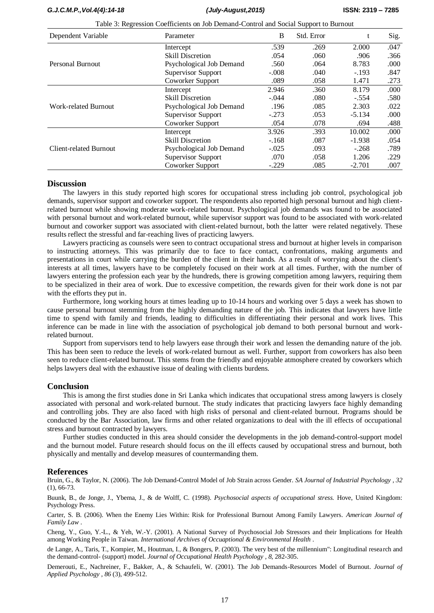| Dependent Variable            | Parameter                 | B       | Std. Error | t        | Sig. |
|-------------------------------|---------------------------|---------|------------|----------|------|
|                               | Intercept                 | .539    | .269       | 2.000    | .047 |
| Personal Burnout              | <b>Skill Discretion</b>   | .054    | .060       | .906     | .366 |
|                               | Psychological Job Demand  | .560    | .064       | 8.783    | .000 |
|                               | <b>Supervisor Support</b> | $-.008$ | .040       | $-.193$  | .847 |
|                               | Coworker Support          | .089    | .058       | 1.471    | .273 |
| Work-related Burnout          | Intercept                 | 2.946   | .360       | 8.179    | .000 |
|                               | <b>Skill Discretion</b>   | $-.044$ | .080       | $-.554$  | .580 |
|                               | Psychological Job Demand  | .196    | .085       | 2.303    | .022 |
|                               | <b>Supervisor Support</b> | $-.273$ | .053       | $-5.134$ | .000 |
|                               | Coworker Support          | .054    | .078       | .694     | .488 |
| <b>Client-related Burnout</b> | Intercept                 | 3.926   | .393       | 10.002   | .000 |
|                               | <b>Skill Discretion</b>   | $-.168$ | .087       | $-1.938$ | .054 |
|                               | Psychological Job Demand  | $-.025$ | .093       | $-.268$  | .789 |
|                               | <b>Supervisor Support</b> | .070    | .058       | 1.206    | .229 |
|                               | Coworker Support          | $-.229$ | .085       | $-2.701$ | .007 |

Table 3: Regression Coefficients on Job Demand-Control and Social Support to Burnout

#### **Discussion**

The lawyers in this study reported high scores for occupational stress including job control, psychological job demands, supervisor support and coworker support. The respondents also reported high personal burnout and high clientrelated burnout while showing moderate work-related burnout. Psychological job demands was found to be associated with personal burnout and work-related burnout, while supervisor support was found to be associated with work-related burnout and coworker support was associated with client-related burnout, both the latter were related negatively. These results reflect the stressful and far-reaching lives of practicing lawyers.

Lawyers practicing as counsels were seen to contract occupational stress and burnout at higher levels in comparison to instructing attorneys. This was primarily due to face to face contact, confrontations, making arguments and presentations in court while carrying the burden of the client in their hands. As a result of worrying about the client's interests at all times, lawyers have to be completely focused on their work at all times. Further, with the number of lawyers entering the profession each year by the hundreds, there is growing competition among lawyers, requiring them to be specialized in their area of work. Due to excessive competition, the rewards given for their work done is not par with the efforts they put in.

Furthermore, long working hours at times leading up to 10-14 hours and working over 5 days a week has shown to cause personal burnout stemming from the highly demanding nature of the job. This indicates that lawyers have little time to spend with family and friends, leading to difficulties in differentiating their personal and work lives. This inference can be made in line with the association of psychological job demand to both personal burnout and workrelated burnout.

Support from supervisors tend to help lawyers ease through their work and lessen the demanding nature of the job. This has been seen to reduce the levels of work-related burnout as well. Further, support from coworkers has also been seen to reduce client-related burnout. This stems from the friendly and enjoyable atmosphere created by coworkers which helps lawyers deal with the exhaustive issue of dealing with clients burdens.

## **Conclusion**

This is among the first studies done in Sri Lanka which indicates that occupational stress among lawyers is closely associated with personal and work-related burnout. The study indicates that practicing lawyers face highly demanding and controlling jobs. They are also faced with high risks of personal and client-related burnout. Programs should be conducted by the Bar Association, law firms and other related organizations to deal with the ill effects of occupational stress and burnout contracted by lawyers.

Further studies conducted in this area should consider the developments in the job demand-control-support model and the burnout model. Future research should focus on the ill effects caused by occupational stress and burnout, both physically and mentally and develop measures of countermanding them.

#### **References**

Bruin, G., & Taylor, N. (2006). The Job Demand-Control Model of Job Strain across Gender. *SA Journal of Industrial Psychology , 32* (1), 66-73.

Buunk, B., de Jonge, J., Ybema, J., & de Wolff, C. (1998). *Psychosocial aspects of occupational stress.* Hove, United Kingdom: Psychology Press.

Carter, S. B. (2006). When the Enemy Lies Within: Risk for Professional Burnout Among Family Lawyers. *American Journal of Family Law* .

Cheng, Y., Guo, Y.-L., & Yeh, W.-Y. (2001). A National Survey of Psychosocial Job Stressors and their Implications for Health among Working People in Taiwan. *International Archives of Occuaptional & Environmental Health* .

de Lange, A., Taris, T., Kompier, M., Houtman, I., & Bongers, P. (2003). The very best of the millennium": Longitudinal research and the demand-control- (support) model. *Journal of Occupational Health Psychology , 8*, 282-305.

Demerouti, E., Nachreiner, F., Bakker, A., & Schaufeli, W. (2001). The Job Demands-Resources Model of Burnout. *Journal of Applied Psychology , 86* (3), 499-512.